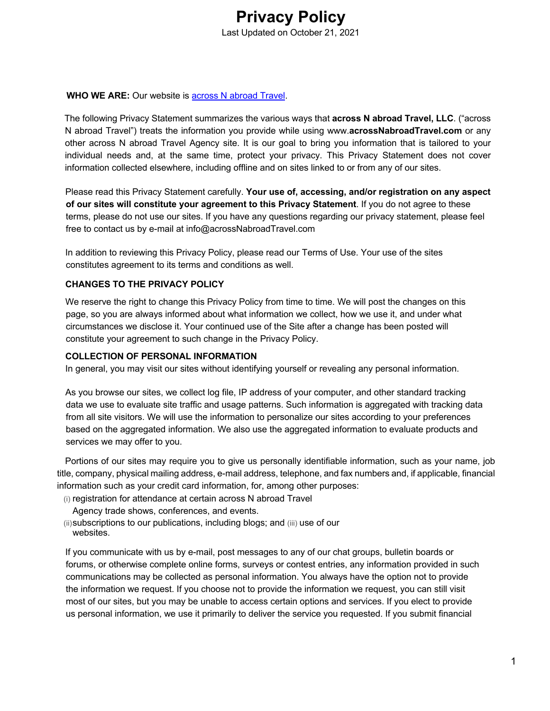

### **WHO WE ARE:** Our website is across N abroad Travel.

The following Privacy Statement summarizes the various ways that **across N abroad Travel, LLC**. ("across N abroad Travel") treats the information you provide while using www.**acrossNabroadTravel.com** or any other across N abroad Travel Agency site. It is our goal to bring you information that is tailored to your individual needs and, at the same time, protect your privacy. This Privacy Statement does not cover information collected elsewhere, including offline and on sites linked to or from any of our sites.

Please read this Privacy Statement carefully. **Your use of, accessing, and/or registration on any aspect of our sites will constitute your agreement to this Privacy Statement**. If you do not agree to these terms, please do not use our sites. If you have any questions regarding our privacy statement, please feel free to contact us by e-mail at info@acrossNabroadTravel.com

In addition to reviewing this Privacy Policy, please read our Terms of Use. Your use of the sites constitutes agreement to its terms and conditions as well.

### **CHANGES TO THE PRIVACY POLICY**

We reserve the right to change this Privacy Policy from time to time. We will post the changes on this page, so you are always informed about what information we collect, how we use it, and under what circumstances we disclose it. Your continued use of the Site after a change has been posted will constitute your agreement to such change in the Privacy Policy.

#### **COLLECTION OF PERSONAL INFORMATION**

In general, you may visit our sites without identifying yourself or revealing any personal information.

As you browse our sites, we collect log file, IP address of your computer, and other standard tracking data we use to evaluate site traffic and usage patterns. Such information is aggregated with tracking data from all site visitors. We will use the information to personalize our sites according to your preferences based on the aggregated information. We also use the aggregated information to evaluate products and services we may offer to you.

Portions of our sites may require you to give us personally identifiable information, such as your name, job title, company, physical mailing address, e-mail address, telephone, and fax numbers and, if applicable, financial information such as your credit card information, for, among other purposes:

(i) registration for attendance at certain across N abroad Travel

Agency trade shows, conferences, and events.

(ii)subscriptions to our publications, including blogs; and (iii) use of our websites.

If you communicate with us by e-mail, post messages to any of our chat groups, bulletin boards or forums, or otherwise complete online forms, surveys or contest entries, any information provided in such communications may be collected as personal information. You always have the option not to provide the information we request. If you choose not to provide the information we request, you can still visit most of our sites, but you may be unable to access certain options and services. If you elect to provide us personal information, we use it primarily to deliver the service you requested. If you submit financial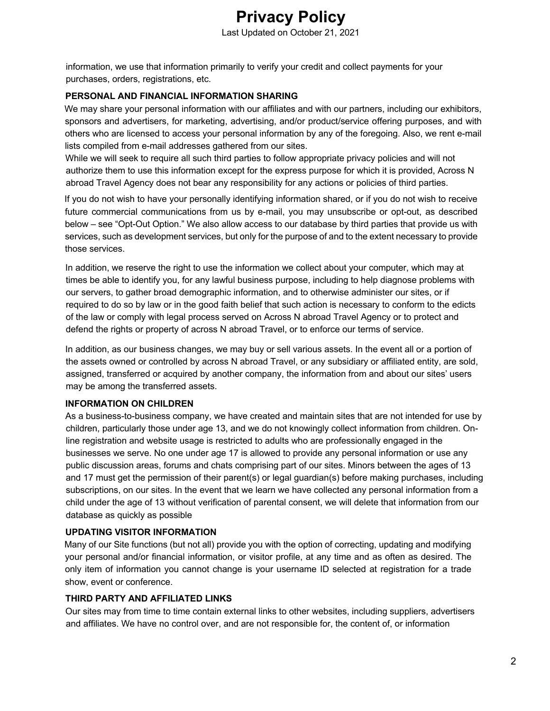information, we use that information primarily to verify your credit and collect payments for your purchases, orders, registrations, etc.

# **PERSONAL AND FINANCIAL INFORMATION SHARING**

We may share your personal information with our affiliates and with our partners, including our exhibitors, sponsors and advertisers, for marketing, advertising, and/or product/service offering purposes, and with others who are licensed to access your personal information by any of the foregoing. Also, we rent e-mail lists compiled from e-mail addresses gathered from our sites.

While we will seek to require all such third parties to follow appropriate privacy policies and will not authorize them to use this information except for the express purpose for which it is provided, Across N abroad Travel Agency does not bear any responsibility for any actions or policies of third parties.

If you do not wish to have your personally identifying information shared, or if you do not wish to receive future commercial communications from us by e-mail, you may unsubscribe or opt-out, as described below – see "Opt-Out Option." We also allow access to our database by third parties that provide us with services, such as development services, but only for the purpose of and to the extent necessary to provide those services.

In addition, we reserve the right to use the information we collect about your computer, which may at times be able to identify you, for any lawful business purpose, including to help diagnose problems with our servers, to gather broad demographic information, and to otherwise administer our sites, or if required to do so by law or in the good faith belief that such action is necessary to conform to the edicts of the law or comply with legal process served on Across N abroad Travel Agency or to protect and defend the rights or property of across N abroad Travel, or to enforce our terms of service.

In addition, as our business changes, we may buy or sell various assets. In the event all or a portion of the assets owned or controlled by across N abroad Travel, or any subsidiary or affiliated entity, are sold, assigned, transferred or acquired by another company, the information from and about our sites' users may be among the transferred assets.

# **INFORMATION ON CHILDREN**

As a business-to-business company, we have created and maintain sites that are not intended for use by children, particularly those under age 13, and we do not knowingly collect information from children. Online registration and website usage is restricted to adults who are professionally engaged in the businesses we serve. No one under age 17 is allowed to provide any personal information or use any public discussion areas, forums and chats comprising part of our sites. Minors between the ages of 13 and 17 must get the permission of their parent(s) or legal guardian(s) before making purchases, including subscriptions, on our sites. In the event that we learn we have collected any personal information from a child under the age of 13 without verification of parental consent, we will delete that information from our database as quickly as possible

# **UPDATING VISITOR INFORMATION**

Many of our Site functions (but not all) provide you with the option of correcting, updating and modifying your personal and/or financial information, or visitor profile, at any time and as often as desired. The only item of information you cannot change is your username ID selected at registration for a trade show, event or conference.

# **THIRD PARTY AND AFFILIATED LINKS**

Our sites may from time to time contain external links to other websites, including suppliers, advertisers and affiliates. We have no control over, and are not responsible for, the content of, or information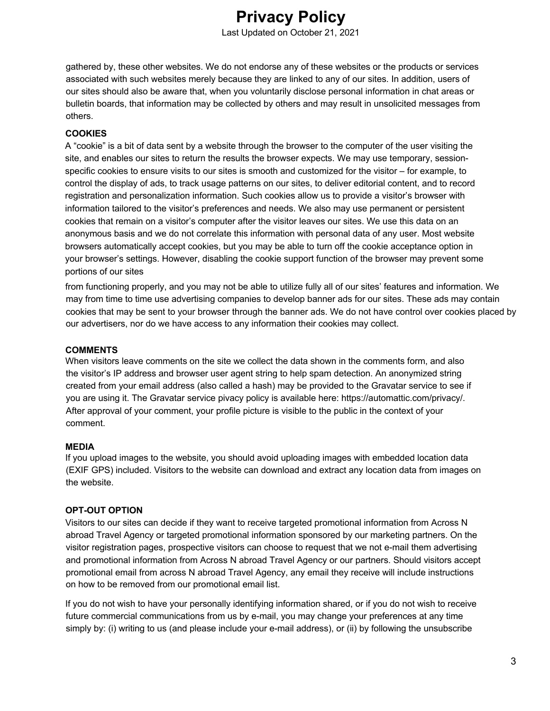# **Privacy Policy**  Last Updated on October 21, 2021

gathered by, these other websites. We do not endorse any of these websites or the products or services associated with such websites merely because they are linked to any of our sites. In addition, users of our sites should also be aware that, when you voluntarily disclose personal information in chat areas or bulletin boards, that information may be collected by others and may result in unsolicited messages from others.

# **COOKIES**

A "cookie" is a bit of data sent by a website through the browser to the computer of the user visiting the site, and enables our sites to return the results the browser expects. We may use temporary, sessionspecific cookies to ensure visits to our sites is smooth and customized for the visitor – for example, to control the display of ads, to track usage patterns on our sites, to deliver editorial content, and to record registration and personalization information. Such cookies allow us to provide a visitor's browser with information tailored to the visitor's preferences and needs. We also may use permanent or persistent cookies that remain on a visitor's computer after the visitor leaves our sites. We use this data on an anonymous basis and we do not correlate this information with personal data of any user. Most website browsers automatically accept cookies, but you may be able to turn off the cookie acceptance option in your browser's settings. However, disabling the cookie support function of the browser may prevent some portions of our sites

from functioning properly, and you may not be able to utilize fully all of our sites' features and information. We may from time to time use advertising companies to develop banner ads for our sites. These ads may contain cookies that may be sent to your browser through the banner ads. We do not have control over cookies placed by our advertisers, nor do we have access to any information their cookies may collect.

# **COMMENTS**

When visitors leave comments on the site we collect the data shown in the comments form, and also the visitor's IP address and browser user agent string to help spam detection. An anonymized string created from your email address (also called a hash) may be provided to the Gravatar service to see if you are using it. The Gravatar service pivacy policy is available here: https://automattic.com/privacy/. After approval of your comment, your profile picture is visible to the public in the context of your comment.

# **MEDIA**

If you upload images to the website, you should avoid uploading images with embedded location data (EXIF GPS) included. Visitors to the website can download and extract any location data from images on the website.

# **OPT-OUT OPTION**

Visitors to our sites can decide if they want to receive targeted promotional information from Across N abroad Travel Agency or targeted promotional information sponsored by our marketing partners. On the visitor registration pages, prospective visitors can choose to request that we not e-mail them advertising and promotional information from Across N abroad Travel Agency or our partners. Should visitors accept promotional email from across N abroad Travel Agency, any email they receive will include instructions on how to be removed from our promotional email list.

If you do not wish to have your personally identifying information shared, or if you do not wish to receive future commercial communications from us by e-mail, you may change your preferences at any time simply by: (i) writing to us (and please include your e-mail address), or (ii) by following the unsubscribe